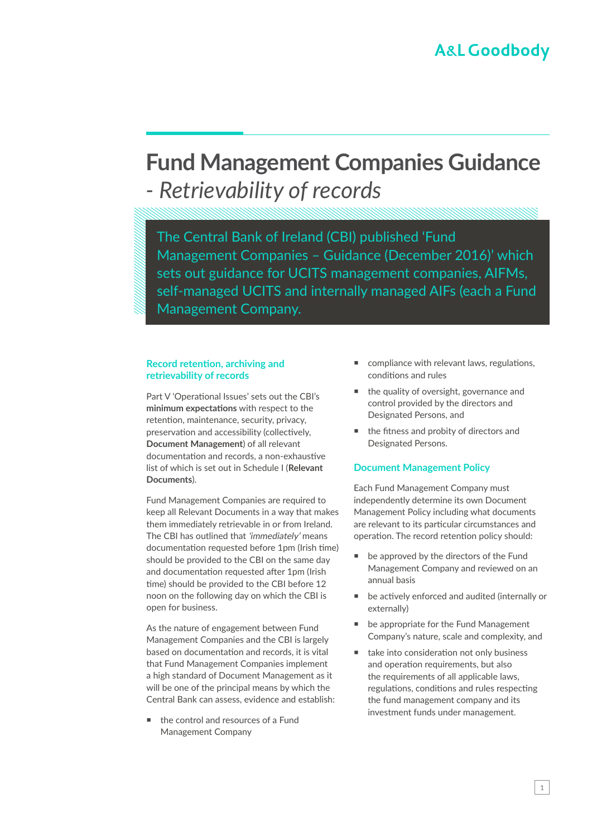# **Fund Management Companies Guidance**  *- Retrievability of records*

The Central Bank of Ireland (CBI) published 'Fund Management Companies – Guidance (December 2016)' which sets out guidance for UCITS management companies, AIFMs, self-managed UCITS and internally managed AIFs (each a Fund Management Company.

#### **Record retention, archiving and retrievability of records**

Part V 'Operational Issues' sets out the CBI's **minimum expectations** with respect to the retention, maintenance, security, privacy, preservation and accessibility (collectively, **Document Management**) of all relevant documentation and records, a non-exhaustive list of which is set out in Schedule I (**Relevant Documents**).

Fund Management Companies are required to keep all Relevant Documents in a way that makes them immediately retrievable in or from Ireland. The CBI has outlined that 'immediately' means documentation requested before 1pm (Irish time) should be provided to the CBI on the same day and documentation requested after 1pm (Irish time) should be provided to the CBI before 12 noon on the following day on which the CBI is open for business.

As the nature of engagement between Fund Management Companies and the CBI is largely based on documentation and records, it is vital that Fund Management Companies implement a high standard of Document Management as it will be one of the principal means by which the Central Bank can assess, evidence and establish:

■ the control and resources of a Fund Management Company

- compliance with relevant laws, regulations, conditions and rules
- the quality of oversight, governance and control provided by the directors and Designated Persons, and
- the fitness and probity of directors and Designated Persons.

#### **Document Management Policy**

Each Fund Management Company must independently determine its own Document Management Policy including what documents are relevant to its particular circumstances and operation. The record retention policy should:

- be approved by the directors of the Fund Management Company and reviewed on an annual basis
- be actively enforced and audited (internally or externally)
- be appropriate for the Fund Management Company's nature, scale and complexity, and
- take into consideration not only business and operation requirements, but also the requirements of all applicable laws, regulations, conditions and rules respecting the fund management company and its investment funds under management.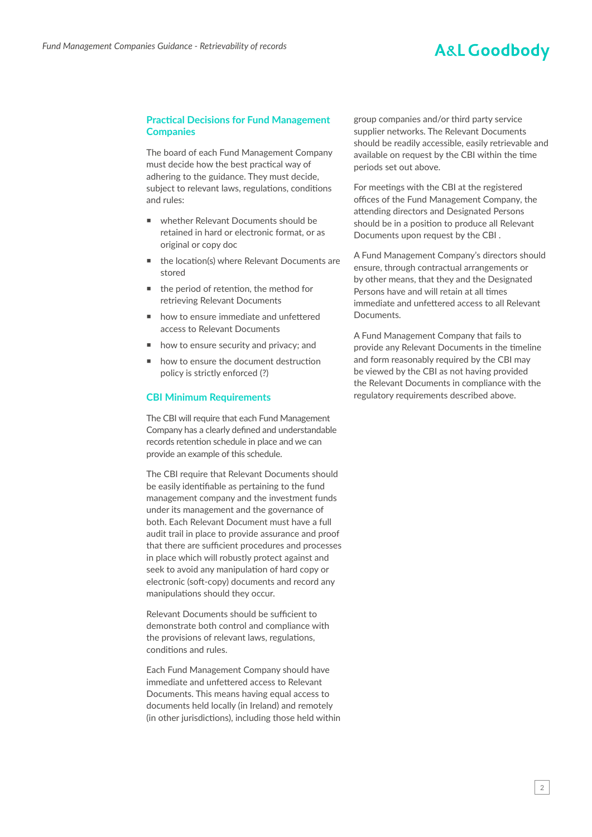### **A&L Goodbody**

#### **Practical Decisions for Fund Management Companies**

The board of each Fund Management Company must decide how the best practical way of adhering to the guidance. They must decide, subject to relevant laws, regulations, conditions and rules:

- whether Relevant Documents should be retained in hard or electronic format, or as original or copy doc
- the location(s) where Relevant Documents are stored
- the period of retention, the method for retrieving Relevant Documents
- how to ensure immediate and unfettered access to Relevant Documents
- how to ensure security and privacy; and
- $\blacksquare$  how to ensure the document destruction policy is strictly enforced (?)

#### **CBI Minimum Requirements**

The CBI will require that each Fund Management Company has a clearly defined and understandable records retention schedule in place and we can provide an example of this schedule.

The CBI require that Relevant Documents should be easily identifiable as pertaining to the fund management company and the investment funds under its management and the governance of both. Each Relevant Document must have a full audit trail in place to provide assurance and proof that there are sufficient procedures and processes in place which will robustly protect against and seek to avoid any manipulation of hard copy or electronic (soft-copy) documents and record any manipulations should they occur.

Relevant Documents should be sufficient to demonstrate both control and compliance with the provisions of relevant laws, regulations, conditions and rules.

Each Fund Management Company should have immediate and unfettered access to Relevant Documents. This means having equal access to documents held locally (in Ireland) and remotely (in other jurisdictions), including those held within group companies and/or third party service supplier networks. The Relevant Documents should be readily accessible, easily retrievable and available on request by the CBI within the time periods set out above.

For meetings with the CBI at the registered offices of the Fund Management Company, the attending directors and Designated Persons should be in a position to produce all Relevant Documents upon request by the CBI .

A Fund Management Company's directors should ensure, through contractual arrangements or by other means, that they and the Designated Persons have and will retain at all times immediate and unfettered access to all Relevant Documents.

A Fund Management Company that fails to provide any Relevant Documents in the timeline and form reasonably required by the CBI may be viewed by the CBI as not having provided the Relevant Documents in compliance with the regulatory requirements described above.